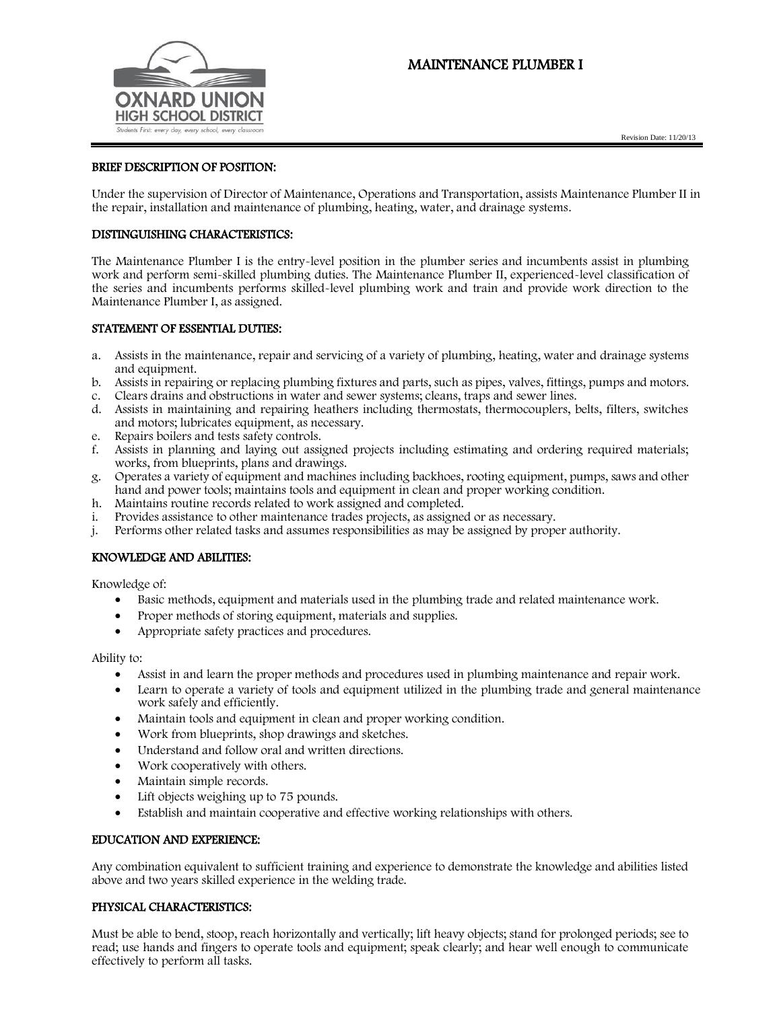# MAINTENANCE PLUMBER I





### BRIEF DESCRIPTION OF POSITION:

Under the supervision of Director of Maintenance, Operations and Transportation, assists Maintenance Plumber II in the repair, installation and maintenance of plumbing, heating, water, and drainage systems.

#### DISTINGUISHING CHARACTERISTICS:

The Maintenance Plumber I is the entry-level position in the plumber series and incumbents assist in plumbing work and perform semi-skilled plumbing duties. The Maintenance Plumber II, experienced-level classification of the series and incumbents performs skilled-level plumbing work and train and provide work direction to the Maintenance Plumber I, as assigned.

#### STATEMENT OF ESSENTIAL DUTIES:

- a. Assists in the maintenance, repair and servicing of a variety of plumbing, heating, water and drainage systems and equipment.
- b. Assists in repairing or replacing plumbing fixtures and parts, such as pipes, valves, fittings, pumps and motors.
- c. Clears drains and obstructions in water and sewer systems; cleans, traps and sewer lines.
- d. Assists in maintaining and repairing heathers including thermostats, thermocouplers, belts, filters, switches and motors; lubricates equipment, as necessary.
- e. Repairs boilers and tests safety controls.
- f. Assists in planning and laying out assigned projects including estimating and ordering required materials; works, from blueprints, plans and drawings.
- g. Operates a variety of equipment and machines including backhoes, rooting equipment, pumps, saws and other hand and power tools; maintains tools and equipment in clean and proper working condition.
- h. Maintains routine records related to work assigned and completed.
- i. Provides assistance to other maintenance trades projects, as assigned or as necessary.
- j. Performs other related tasks and assumes responsibilities as may be assigned by proper authority.

#### KNOWLEDGE AND ABILITIES:

Knowledge of:

- Basic methods, equipment and materials used in the plumbing trade and related maintenance work.
- Proper methods of storing equipment, materials and supplies.
- Appropriate safety practices and procedures.

Ability to:

- Assist in and learn the proper methods and procedures used in plumbing maintenance and repair work.
- Learn to operate a variety of tools and equipment utilized in the plumbing trade and general maintenance work safely and efficiently.
- Maintain tools and equipment in clean and proper working condition.
- Work from blueprints, shop drawings and sketches.
- Understand and follow oral and written directions.
- Work cooperatively with others.
- Maintain simple records.
- Lift objects weighing up to 75 pounds.
- Establish and maintain cooperative and effective working relationships with others.

## EDUCATION AND EXPERIENCE:

Any combination equivalent to sufficient training and experience to demonstrate the knowledge and abilities listed above and two years skilled experience in the welding trade.

#### PHYSICAL CHARACTERISTICS:

Must be able to bend, stoop, reach horizontally and vertically; lift heavy objects; stand for prolonged periods; see to read; use hands and fingers to operate tools and equipment; speak clearly; and hear well enough to communicate effectively to perform all tasks.